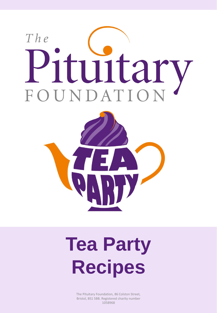



## **Tea Party Recipes**

The Pituitary Foundation, 86 Colston Street, Bristol, BS1 5BB. Registered charity number 1058968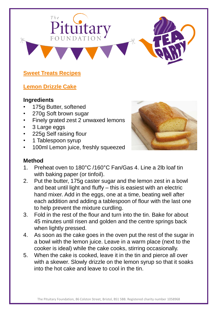# $The$ ituitary

#### **Sweet Treats Recipes**

#### **Lemon Drizzle Cake**

#### **Ingredients**

- 175g Butter, softened
- 270g Soft brown sugar
- Finely grated zest 2 unwaxed lemons
- 3 Large eggs
- 225g Self raising flour
- 1 Tablespoon syrup
- 100ml Lemon juice, freshly squeezed



- 1. Preheat oven to 180°C /160°C Fan/Gas 4. Line a 2lb loaf tin with baking paper (or tinfoil).
- 2. Put the butter, 175g caster sugar and the lemon zest in a bowl and beat until light and fluffy – this is easiest with an electric hand mixer. Add in the eggs, one at a time, beating well after each addition and adding a tablespoon of flour with the last one to help prevent the mixture curdling.
- 3. Fold in the rest of the flour and turn into the tin. Bake for about 45 minutes until risen and golden and the centre springs back when lightly pressed.
- 4. As soon as the cake goes in the oven put the rest of the sugar in a bowl with the lemon juice. Leave in a warm place (next to the cooker is ideal) while the cake cooks, stirring occasionally.
- 5. When the cake is cooked, leave it in the tin and pierce all over with a skewer. Slowly drizzle on the lemon syrup so that it soaks into the hot cake and leave to cool in the tin.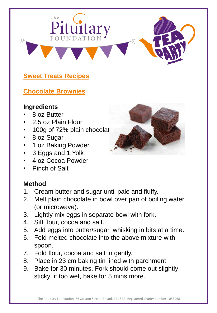$The$ 

Pituitary

#### **Chocolate Brownies**

#### **Ingredients**

- 8 oz Butter
- 2.5 oz Plain Flour
- 100g of 72% plain chocolat
- 8 oz Sugar
- 1 oz Baking Powder
- 3 Eggs and 1 Yolk
- 4 oz Cocoa Powder
- Pinch of Salt

- 1. Cream butter and sugar until pale and fluffy.
- 2. Melt plain chocolate in bowl over pan of boiling water (or microwave).
- 3. Lightly mix eggs in separate bowl with fork.
- 4. Sift flour, cocoa and salt.
- 5. Add eggs into butter/sugar, whisking in bits at a time.
- 6. Fold melted chocolate into the above mixture with spoon.
- 7. Fold flour, cocoa and salt in gently.
- 8. Place in 23 cm baking tin lined with parchment.
- 9. Bake for 30 minutes. Fork should come out slightly sticky; if too wet, bake for 5 mins more.

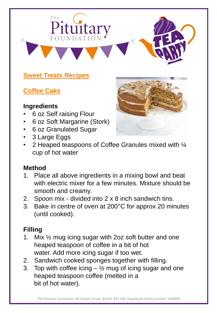

## **Coffee Cake**

#### **Ingredients**

- 6 oz Self raising Flour
- 6 oz Soft Margarine (Stork)
- 6 oz Granulated Sugar
- 3 Large Eggs
- 2 Heaped teaspoons of Coffee Granules mixed with  $\frac{1}{4}$ cup of hot water

#### **Method**

- 1. Place all above ingredients in a mixing bowl and beat with electric mixer for a few minutes. Mixture should be smooth and creamy.
- 2. Spoon mix divided into 2 x 8 inch sandwich tins.
- 3. Bake in centre of oven at 200°C for approx 20 minutes (until cooked).

## **Filling**

- 1. Mix ½ mug icing sugar with 2oz soft butter and one heaped teaspoon of coffee in a bit of hot water. Add more icing sugar if too wet.
- 2. Sandwich cooked sponges together with filling.
- 3. Top with coffee icing  $-$  1/2 mug of icing sugar and one heaped teaspoon coffee (melted in a bit of hot water).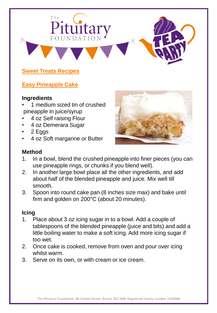

#### **Easy Pineapple Cake**

#### **Ingredients**

- 1 medium sized tin of crushed pineapple in juice/syrup
- 4 oz Self raising Flour
- 4 oz Demerara Sugar
- 2 Eggs
- 4 oz Soft margarine or Butter



#### **Method**

- 1. In a bowl, blend the crushed pineapple into finer pieces (you can use pineapple rings, or chunks if you blend well).
- 2. In another large bowl place all the other ingredients, and add about half of the blended pineapple and juice. Mix well till smooth.
- 3. Spoon into round cake pan (8 inches size max) and bake until firm and golden on 200°C (about 20 minutes).

#### **Icing**

- 1. Place about 3 oz icing sugar in to a bowl. Add a couple of tablespoons of the blended pineapple (juice and bits) and add a little boiling water to make a soft icing. Add more icing sugar if too wet.
- 2. Once cake is cooked, remove from oven and pour over icing whilst warm.
- 3. Serve on its own, or with cream or ice cream.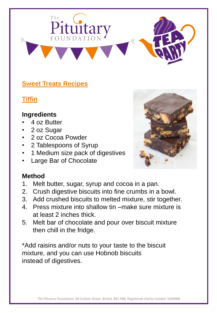

**Tiffin**

#### **Ingredients**

- 4 oz Butter
- 2 oz Sugar
- 2 oz Cocoa Powder
- 2 Tablespoons of Syrup
- 1 Medium size pack of digestives
- Large Bar of Chocolate



## **Method**

- 1. Melt butter, sugar, syrup and cocoa in a pan.
- 2. Crush digestive biscuits into fine crumbs in a bowl.
- 3. Add crushed biscuits to melted mixture, stir together.
- 4. Press mixture into shallow tin –make sure mixture is at least 2 inches thick.
- 5. Melt bar of chocolate and pour over biscuit mixture then chill in the fridge.

\*Add raisins and/or nuts to your taste to the biscuit mixture, and you can use Hobnob biscuits instead of digestives.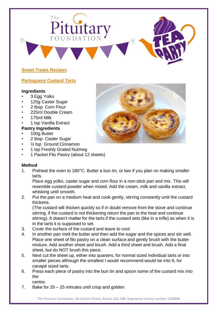# $The$ dituitai

#### **Sweet Treats Recipes**

#### **Portuguese Custard Tarts**

#### **Ingredients**

- 3 Egg Yolks
- 125g Caster Sugar
- 2 tbsp. Corn Flour
- 225ml Double Cream
- 175ml Milk
- 1 tsp Vanilla Extract

#### **Pastry Ingredients**

- 100g Butter
- 2 tbsp. Caster Sugar
- $\frac{1}{2}$  tsp Ground Cinnamon
- 1 tsp Freshly Grated Nutmeg
- 1 Packet Filo Pastry (about 12 sheets)

#### **Method**

1. Preheat the oven to 180°C. Butter a bun tin, or two if you plan on making smaller tarts.

Place egg yolks, caster sugar and corn flour in a non-stick pan and mix. This will resemble custard powder when mixed. Add the cream, milk and vanilla extract, whisking until smooth.

2. Put the pan on a medium heat and cook gently, stirring constantly until the custard thickens.

(The custard will thicken quickly so if in doubt remove from the stove and continue stirring, if the custard is not thickening return the pan to the heat and continue stirring). It doesn't matter for the tarts if the custard sets (like in a trifle) as when it is in the tarts it is supposed to set.

- 3. Cover the surface of the custard and leave to cool.
- 4. In another pan melt the butter and then add the sugar and the spices and stir well. Place one sheet of filo pastry on a clean surface and gently brush with the butter mixture. Add another sheet and brush. Add a third sheet and brush. Add a final sheet, but do NOT brush this piece.
- 5. Next cut the sheet up, either into quarters, for normal sized individual tarts or into smaller pieces although the smallest I would recommend would be into 9, for canapé sized tarts.
- 6. Press each piece of pastry into the bun tin and spoon some of the custard mix into the
	- centre.
- 7. Bake for 20 25 minutes until crisp and golden.

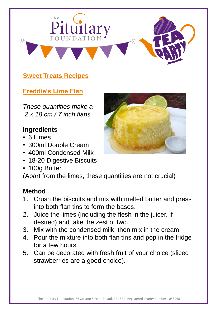

## **Freddie's Lime Flan**

*These quantities make a 2 x 18 cm / 7 inch flans*

#### **Ingredients**

- 6 Limes
- 300ml Double Cream
- 400ml Condensed Milk
- 18-20 Digestive Biscuits
- 100g Butter

(Apart from the limes, these quantities are not crucial)

- 1. Crush the biscuits and mix with melted butter and press into both flan tins to form the bases.
- 2. Juice the limes (including the flesh in the juicer, if desired) and take the zest of two.
- 3. Mix with the condensed milk, then mix in the cream.
- 4. Pour the mixture into both flan tins and pop in the fridge for a few hours.
- 5. Can be decorated with fresh fruit of your choice (sliced strawberries are a good choice).

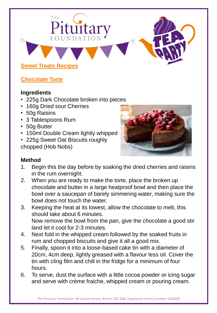## $The$ lituitary **Sweet Treats Recipes**

#### **Chocolate Torte**

#### **Ingredients**

- 225g Dark Chocolate broken into pieces
- 160g Dried sour Cherries
- 50g Raisins
- 3 Tablespoons Rum
- 50g Butter
- 150ml Double Cream lightly whipped
- 225g Sweet Oat Biscuits roughly chopped (Hob Nobs)



- 1. Begin this the day before by soaking the dried cherries and raisins in the rum overnight.
- 2. When you are ready to make the torte, place the broken up chocolate and butter in a large heatproof bowl and then place the bowl over a saucepan of barely simmering water, making sure the bowl does not touch the water.
- 3. Keeping the heat at its lowest, allow the chocolate to melt, this should take about 6 minutes. Now remove the bowl from the pan, give the chocolate a good stir land let it cool for 2-3 minutes.
- 4. Next fold in the whipped cream followed by the soaked fruits in rum and chopped biscuits and give it all a good mix.
- 5. Finally, spoon it into a loose-based cake tin with a diameter of 20cm, 4cm deep, lightly greased with a flavour less oil. Cover the tin with cling film and chill in the fridge for a minimum of four hours.
- 6. To serve, dust the surface with a little cocoa powder or icing sugar and serve with crème fraiche, whipped cream or pouring cream.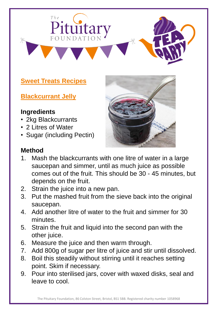

**Blackcurrant Jelly**

#### **Ingredients**

- 2kg Blackcurrants
- 2 Litres of Water
- Sugar (including Pectin)





- 1. Mash the blackcurrants with one litre of water in a large saucepan and simmer, until as much juice as possible comes out of the fruit. This should be 30 - 45 minutes, but depends on the fruit.
- 2. Strain the juice into a new pan.
- 3. Put the mashed fruit from the sieve back into the original saucepan.
- 4. Add another litre of water to the fruit and simmer for 30 minutes.
- 5. Strain the fruit and liquid into the second pan with the other juice.
- 6. Measure the juice and then warm through.
- 7. Add 800g of sugar per litre of juice and stir until dissolved.
- 8. Boil this steadily without stirring until it reaches setting point. Skim if necessary.
- 9. Pour into sterilised jars, cover with waxed disks, seal and leave to cool.